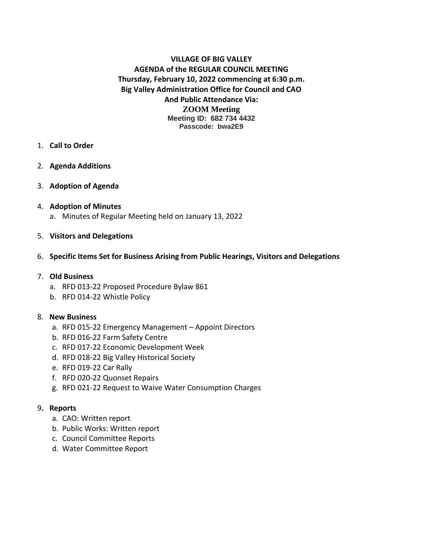# **VILLAGE OF BIG VALLEY AGENDA of the REGULAR COUNCIL MEETING Thursday, February 10, 2022 commencing at 6:30 p.m. Big Valley Administration Office for Council and CAO And Public Attendance Via: ZOOM Meeting Meeting ID: 682 734 4432 Passcode: bwa2E9**

- 1. **Call to Order**
- 2. **Agenda Additions**
- 3. **Adoption of Agenda**
- 4. **Adoption of Minutes**
	- a. Minutes of Regular Meeting held on January 13, 2022
- 5. **Visitors and Delegations**
- 6. **Specific Items Set for Business Arising from Public Hearings, Visitors and Delegations**
- 7. **Old Business**
	- a. RFD 013-22 Proposed Procedure Bylaw 861
	- b. RFD 014-22 Whistle Policy

### 8. **New Business**

- a. RFD 015-22 Emergency Management Appoint Directors
- b. RFD 016-22 Farm Safety Centre
- c. RFD 017-22 Economic Development Week
- d. RFD 018-22 Big Valley Historical Society
- e. RFD 019-22 Car Rally
- f. RFD 020-22 Quonset Repairs
- g. RFD 021-22 Request to Waive Water Consumption Charges

### 9**. Reports**

- a. CAO: Written report
- b. Public Works: Written report
- c. Council Committee Reports
- d. Water Committee Report